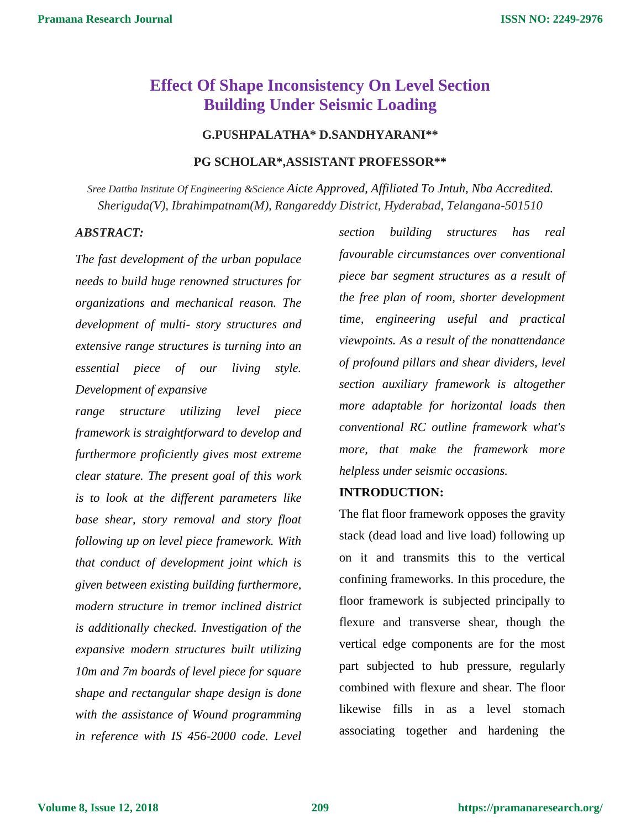# **Effect Of Shape Inconsistency On Level Section Building Under Seismic Loading**

# **G.PUSHPALATHA\* D.SANDHYARANI\*\***

## **PG SCHOLAR\*,ASSISTANT PROFESSOR\*\***

*Sree Dattha Institute Of Engineering &Science Aicte Approved, Affiliated To Jntuh, Nba Accredited. Sheriguda(V), Ibrahimpatnam(M), Rangareddy District, Hyderabad, Telangana-501510*

### *ABSTRACT:*

*The fast development of the urban populace needs to build huge renowned structures for organizations and mechanical reason. The development of multi- story structures and extensive range structures is turning into an essential piece of our living style. Development of expansive*

*range structure utilizing level piece framework is straightforward to develop and furthermore proficiently gives most extreme clear stature. The present goal of this work is to look at the different parameters like base shear, story removal and story float following up on level piece framework. With that conduct of development joint which is given between existing building furthermore, modern structure in tremor inclined district is additionally checked. Investigation of the expansive modern structures built utilizing 10m and 7m boards of level piece for square shape and rectangular shape design is done with the assistance of Wound programming in reference with IS 456-2000 code. Level* 

*section building structures has real favourable circumstances over conventional piece bar segment structures as a result of the free plan of room, shorter development time, engineering useful and practical viewpoints. As a result of the nonattendance of profound pillars and shear dividers, level section auxiliary framework is altogether more adaptable for horizontal loads then conventional RC outline framework what's more, that make the framework more helpless under seismic occasions.*

## **INTRODUCTION:**

The flat floor framework opposes the gravity stack (dead load and live load) following up on it and transmits this to the vertical confining frameworks. In this procedure, the floor framework is subjected principally to flexure and transverse shear, though the vertical edge components are for the most part subjected to hub pressure, regularly combined with flexure and shear. The floor likewise fills in as a level stomach associating together and hardening the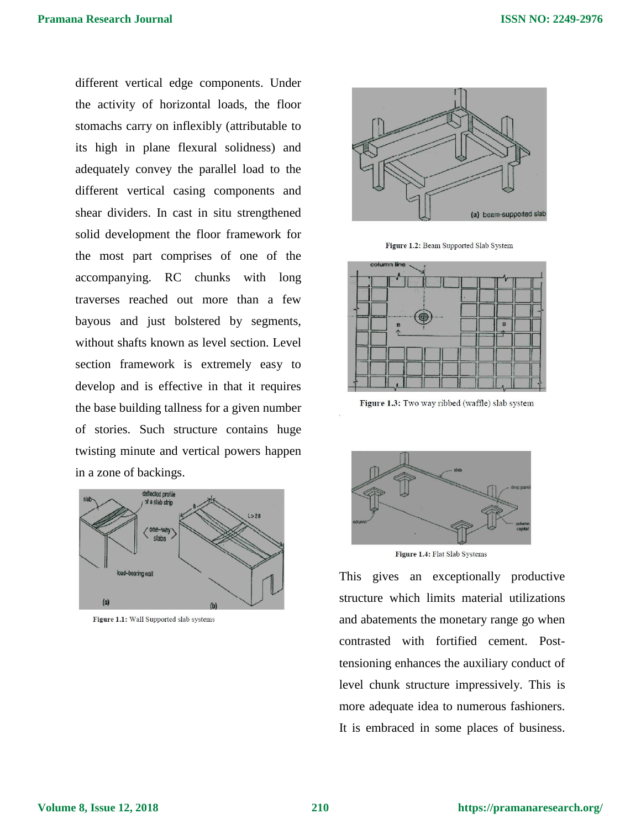different vertical edge components. Under the activity of horizontal loads, the floor stomachs carry on inflexibly (attributable to its high in plane flexural solidness) and adequately convey the parallel load to the different vertical casing components and shear dividers. In cast in situ strengthened solid development the floor framework for the most part comprises of one of the accompanying. RC chunks with long traverses reached out more than a few bayous and just bolstered by segments, without shafts known as level section. Level section framework is extremely easy to develop and is effective in that it requires the base building tallness for a given number of stories. Such structure contains huge twisting minute and vertical powers happen in a zone of backings.



Figure 1.1: Wall Supported slab systems



Figure 1.2: Beam Supported Slab System



Figure 1.3: Two way ribbed (waffle) slab system



Figure 1.4: Flat Slab Systems

This gives an exceptionally productive structure which limits material utilizations and abatements the monetary range go when contrasted with fortified cement. Posttensioning enhances the auxiliary conduct of level chunk structure impressively. This is more adequate idea to numerous fashioners. It is embraced in some places of business.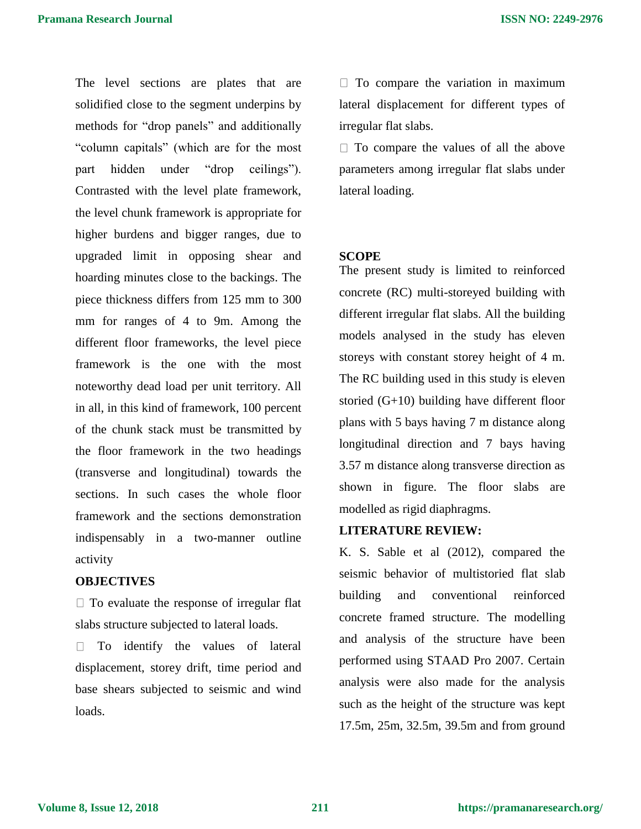The level sections are plates that are solidified close to the segment underpins by methods for "drop panels" and additionally "column capitals" (which are for the most part hidden under "drop ceilings"). Contrasted with the level plate framework, the level chunk framework is appropriate for higher burdens and bigger ranges, due to upgraded limit in opposing shear and hoarding minutes close to the backings. The piece thickness differs from 125 mm to 300 mm for ranges of 4 to 9m. Among the different floor frameworks, the level piece framework is the one with the most noteworthy dead load per unit territory. All in all, in this kind of framework, 100 percent of the chunk stack must be transmitted by the floor framework in the two headings (transverse and longitudinal) towards the sections. In such cases the whole floor framework and the sections demonstration indispensably in a two-manner outline activity

# **OBJECTIVES**

 $\Box$  To evaluate the response of irregular flat slabs structure subjected to lateral loads.

To identify the values of lateral displacement, storey drift, time period and base shears subjected to seismic and wind loads.

 $\Box$  To compare the variation in maximum lateral displacement for different types of irregular flat slabs.

 $\Box$  To compare the values of all the above parameters among irregular flat slabs under lateral loading.

### **SCOPE**

The present study is limited to reinforced concrete (RC) multi-storeyed building with different irregular flat slabs. All the building models analysed in the study has eleven storeys with constant storey height of 4 m. The RC building used in this study is eleven storied (G+10) building have different floor plans with 5 bays having 7 m distance along longitudinal direction and 7 bays having 3.57 m distance along transverse direction as shown in figure. The floor slabs are modelled as rigid diaphragms.

# **LITERATURE REVIEW:**

K. S. Sable et al (2012), compared the seismic behavior of multistoried flat slab building and conventional reinforced concrete framed structure. The modelling and analysis of the structure have been performed using STAAD Pro 2007. Certain analysis were also made for the analysis such as the height of the structure was kept 17.5m, 25m, 32.5m, 39.5m and from ground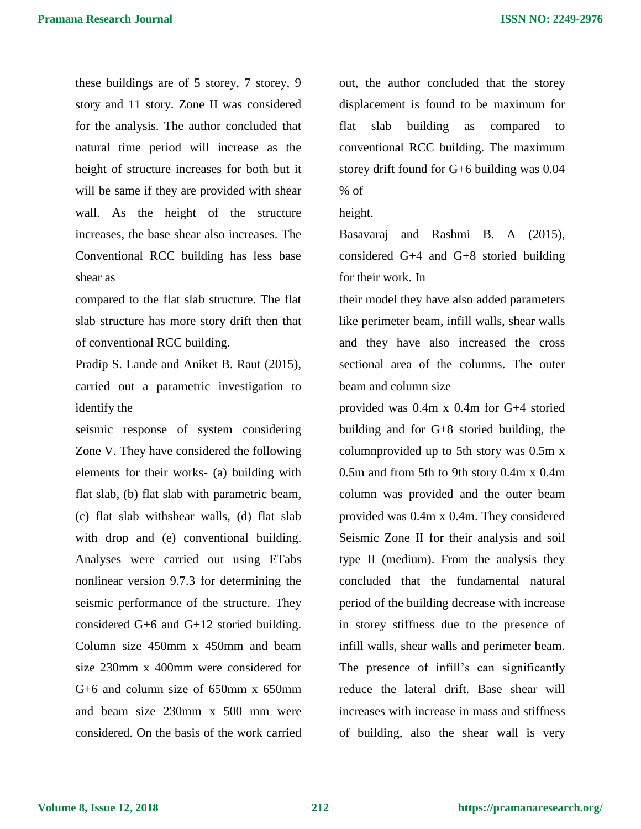these buildings are of 5 storey, 7 storey, 9 story and 11 story. Zone II was considered for the analysis. The author concluded that natural time period will increase as the height of structure increases for both but it will be same if they are provided with shear wall. As the height of the structure increases, the base shear also increases. The Conventional RCC building has less base shear as

compared to the flat slab structure. The flat slab structure has more story drift then that of conventional RCC building.

Pradip S. Lande and Aniket B. Raut (2015), carried out a parametric investigation to identify the

seismic response of system considering Zone V. They have considered the following elements for their works- (a) building with flat slab, (b) flat slab with parametric beam, (c) flat slab withshear walls, (d) flat slab with drop and (e) conventional building. Analyses were carried out using ETabs nonlinear version 9.7.3 for determining the seismic performance of the structure. They considered G+6 and G+12 storied building. Column size 450mm x 450mm and beam size 230mm x 400mm were considered for G+6 and column size of 650mm x 650mm and beam size 230mm x 500 mm were considered. On the basis of the work carried out, the author concluded that the storey displacement is found to be maximum for flat slab building as compared to conventional RCC building. The maximum storey drift found for G+6 building was 0.04 % of

height.

Basavaraj and Rashmi B. A (2015), considered G+4 and G+8 storied building for their work. In

their model they have also added parameters like perimeter beam, infill walls, shear walls and they have also increased the cross sectional area of the columns. The outer beam and column size

provided was 0.4m x 0.4m for G+4 storied building and for G+8 storied building, the columnprovided up to 5th story was 0.5m x 0.5m and from 5th to 9th story 0.4m x 0.4m column was provided and the outer beam provided was 0.4m x 0.4m. They considered Seismic Zone II for their analysis and soil type II (medium). From the analysis they concluded that the fundamental natural period of the building decrease with increase in storey stiffness due to the presence of infill walls, shear walls and perimeter beam. The presence of infill's can significantly reduce the lateral drift. Base shear will increases with increase in mass and stiffness of building, also the shear wall is very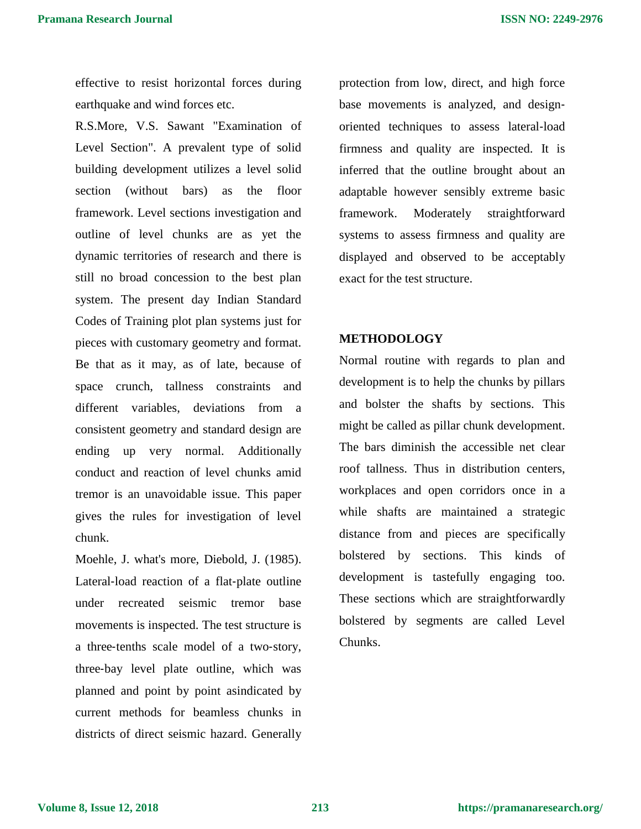effective to resist horizontal forces during earthquake and wind forces etc.

R.S.More, V.S. Sawant "Examination of Level Section". A prevalent type of solid building development utilizes a level solid section (without bars) as the floor framework. Level sections investigation and outline of level chunks are as yet the dynamic territories of research and there is still no broad concession to the best plan system. The present day Indian Standard Codes of Training plot plan systems just for pieces with customary geometry and format. Be that as it may, as of late, because of space crunch, tallness constraints and different variables, deviations from a consistent geometry and standard design are ending up very normal. Additionally conduct and reaction of level chunks amid tremor is an unavoidable issue. This paper gives the rules for investigation of level chunk.

Moehle, J. what's more, Diebold, J. (1985). Lateral‐load reaction of a flat‐plate outline under recreated seismic tremor base movements is inspected. The test structure is a three‐tenths scale model of a two‐story, three‐bay level plate outline, which was planned and point by point asindicated by current methods for beamless chunks in districts of direct seismic hazard. Generally protection from low, direct, and high force base movements is analyzed, and designoriented techniques to assess lateral‐load firmness and quality are inspected. It is inferred that the outline brought about an adaptable however sensibly extreme basic framework. Moderately straightforward systems to assess firmness and quality are displayed and observed to be acceptably exact for the test structure.

## **METHODOLOGY**

Normal routine with regards to plan and development is to help the chunks by pillars and bolster the shafts by sections. This might be called as pillar chunk development. The bars diminish the accessible net clear roof tallness. Thus in distribution centers, workplaces and open corridors once in a while shafts are maintained a strategic distance from and pieces are specifically bolstered by sections. This kinds of development is tastefully engaging too. These sections which are straightforwardly bolstered by segments are called Level Chunks.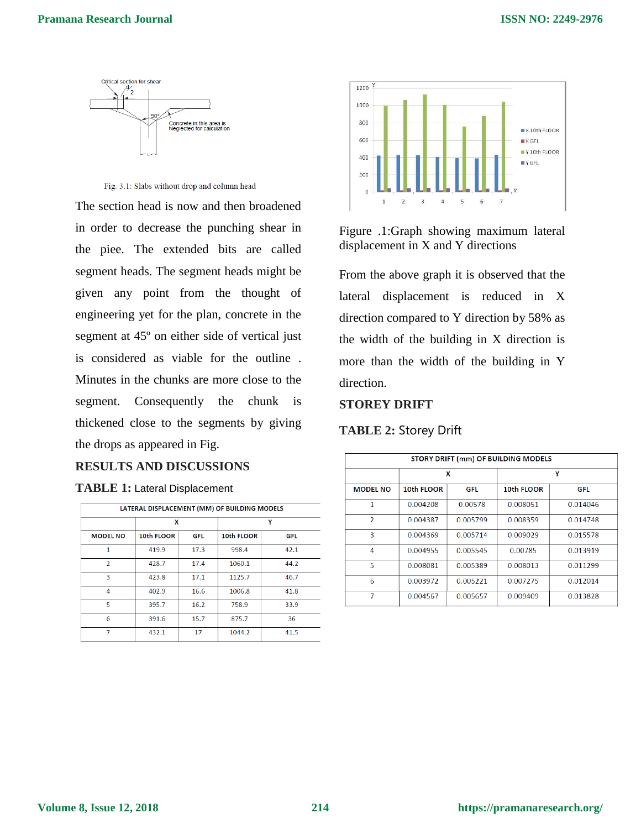

Fig. 3.1: Slabs without drop and column head

The section head is now and then broadened in order to decrease the punching shear in the piee. The extended bits are called segment heads. The segment heads might be given any point from the thought of engineering yet for the plan, concrete in the segment at 45º on either side of vertical just is considered as viable for the outline . Minutes in the chunks are more close to the segment. Consequently the chunk is thickened close to the segments by giving the drops as appeared in Fig.

# **RESULTS AND DISCUSSIONS**

|  |  |  |  |  |  |  | <b>TABLE 1: Lateral Displacement</b> |  |
|--|--|--|--|--|--|--|--------------------------------------|--|
|--|--|--|--|--|--|--|--------------------------------------|--|

| LATERAL DISPLACEMENT (MM) OF BUILDING MODELS |            |            |            |            |  |  |  |  |
|----------------------------------------------|------------|------------|------------|------------|--|--|--|--|
|                                              | X          |            | γ          |            |  |  |  |  |
| <b>MODEL NO</b>                              | 10th FLOOR | <b>GFL</b> | 10th FLOOR | <b>GFL</b> |  |  |  |  |
| 1                                            | 419.9      | 17.3       | 998.4      | 42.1       |  |  |  |  |
| $\overline{2}$                               | 428.7      | 17.4       | 1060.1     | 44.2       |  |  |  |  |
| 3                                            | 423.8      | 17.1       | 1125.7     | 46.7       |  |  |  |  |
| 4                                            | 402.9      | 16.6       | 1006.8     | 41.8       |  |  |  |  |
| 5                                            | 395.7      | 16.2       | 758.9      | 33.9       |  |  |  |  |
| 6                                            | 391.6      | 15.7       | 875.7      | 36         |  |  |  |  |
| 7                                            | 432.1      | 17         | 1044.2     | 41.5       |  |  |  |  |
|                                              |            |            |            |            |  |  |  |  |



Figure .1:Graph showing maximum lateral displacement in X and Y directions

From the above graph it is observed that the lateral displacement is reduced in X direction compared to Y direction by 58% as the width of the building in X direction is more than the width of the building in Y direction.

# **STOREY DRIFT**

## **TABLE 2:** Storey Drift

| <b>STORY DRIFT (mm) OF BUILDING MODELS</b> |            |          |            |          |  |  |  |
|--------------------------------------------|------------|----------|------------|----------|--|--|--|
|                                            |            | x        | γ          |          |  |  |  |
| <b>MODEL NO</b>                            | 10th FLOOR | GFL      | 10th FLOOR | GFL      |  |  |  |
| 1                                          | 0.004208   | 0.00578  | 0.008051   | 0.014046 |  |  |  |
| $\mathcal{P}$                              | 0.004387   | 0.005799 | 0.008359   | 0.014748 |  |  |  |
| 3                                          | 0.004369   | 0.005714 | 0.009029   | 0.015578 |  |  |  |
| 4                                          | 0.004955   | 0.005545 | 0.00785    | 0.013919 |  |  |  |
| 5                                          | 0.008081   | 0.005389 | 0.008013   | 0.011299 |  |  |  |
| 6                                          | 0.003972   | 0.005221 | 0.007275   | 0.012014 |  |  |  |
| 7                                          | 0.004567   | 0.005657 | 0.009409   | 0.013828 |  |  |  |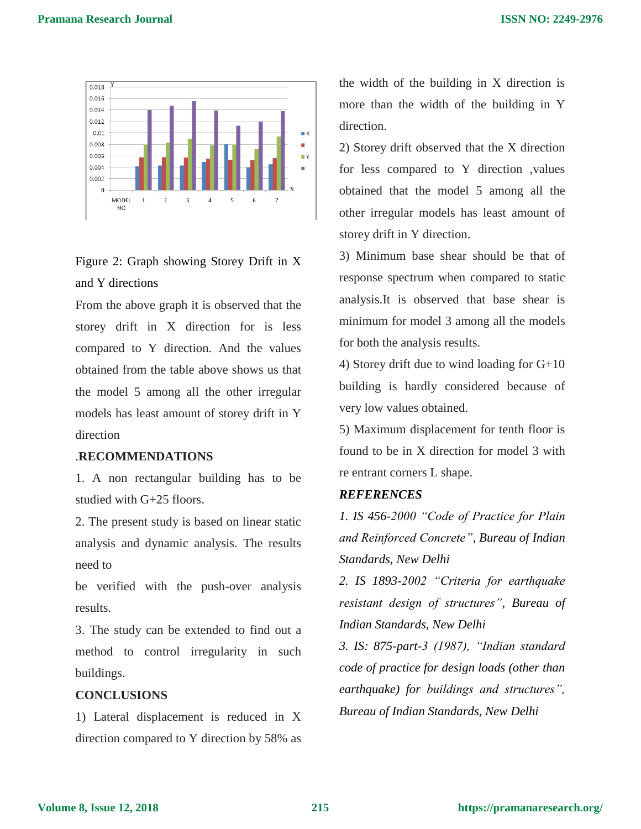

Figure 2: Graph showing Storey Drift in X and Y directions

From the above graph it is observed that the storey drift in X direction for is less compared to Y direction. And the values obtained from the table above shows us that the model 5 among all the other irregular models has least amount of storey drift in Y direction

#### .**RECOMMENDATIONS**

1. A non rectangular building has to be studied with G+25 floors.

2. The present study is based on linear static analysis and dynamic analysis. The results need to

be verified with the push-over analysis results.

3. The study can be extended to find out a method to control irregularity in such buildings.

### **CONCLUSIONS**

1) Lateral displacement is reduced in X direction compared to Y direction by 58% as the width of the building in X direction is more than the width of the building in Y direction.

2) Storey drift observed that the X direction for less compared to Y direction ,values obtained that the model 5 among all the other irregular models has least amount of storey drift in Y direction.

3) Minimum base shear should be that of response spectrum when compared to static analysis.It is observed that base shear is minimum for model 3 among all the models for both the analysis results.

4) Storey drift due to wind loading for G+10 building is hardly considered because of very low values obtained.

5) Maximum displacement for tenth floor is found to be in X direction for model 3 with re entrant corners L shape.

#### *REFERENCES*

*1. IS 456-2000 "Code of Practice for Plain and Reinforced Concrete", Bureau of Indian Standards, New Delhi*

*2. IS 1893-2002 "Criteria for earthquake resistant design of structures", Bureau of Indian Standards, New Delhi*

*3. IS: 875-part-3 (1987), "Indian standard code of practice for design loads (other than earthquake) for buildings and structures", Bureau of Indian Standards, New Delhi*